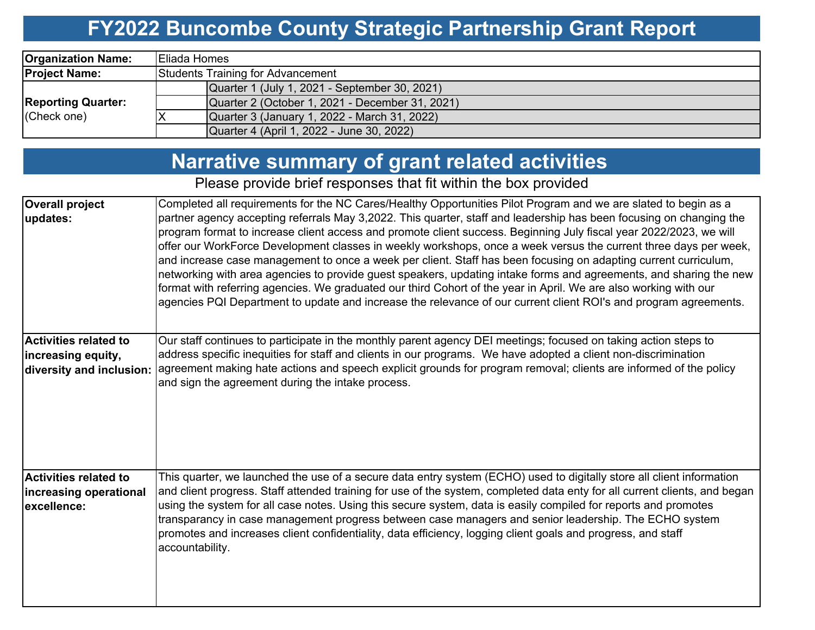## **FY2022 Buncombe County Strategic Partnership Grant Report**

| <b>Organization Name:</b>                | <b>Eliada Homes</b>                             |  |  |  |  |  |  |
|------------------------------------------|-------------------------------------------------|--|--|--|--|--|--|
| <b>Project Name:</b>                     | Students Training for Advancement               |  |  |  |  |  |  |
| <b>Reporting Quarter:</b><br>(Check one) | Quarter 1 (July 1, 2021 - September 30, 2021)   |  |  |  |  |  |  |
|                                          | Quarter 2 (October 1, 2021 - December 31, 2021) |  |  |  |  |  |  |
|                                          | Quarter 3 (January 1, 2022 - March 31, 2022)    |  |  |  |  |  |  |
|                                          | Quarter 4 (April 1, 2022 - June 30, 2022)       |  |  |  |  |  |  |

# **Narrative summary of grant related activities**

Please provide brief responses that fit within the box provided

| <b>Overall project</b><br>updates:                                             | Completed all requirements for the NC Cares/Healthy Opportunities Pilot Program and we are slated to begin as a<br>partner agency accepting referrals May 3,2022. This quarter, staff and leadership has been focusing on changing the<br>program format to increase client access and promote client success. Beginning July fiscal year 2022/2023, we will<br>offer our WorkForce Development classes in weekly workshops, once a week versus the current three days per week,<br>and increase case management to once a week per client. Staff has been focusing on adapting current curriculum,<br>networking with area agencies to provide guest speakers, updating intake forms and agreements, and sharing the new<br>format with referring agencies. We graduated our third Cohort of the year in April. We are also working with our<br>agencies PQI Department to update and increase the relevance of our current client ROI's and program agreements. |
|--------------------------------------------------------------------------------|-------------------------------------------------------------------------------------------------------------------------------------------------------------------------------------------------------------------------------------------------------------------------------------------------------------------------------------------------------------------------------------------------------------------------------------------------------------------------------------------------------------------------------------------------------------------------------------------------------------------------------------------------------------------------------------------------------------------------------------------------------------------------------------------------------------------------------------------------------------------------------------------------------------------------------------------------------------------|
| <b>Activities related to</b><br>increasing equity,<br>diversity and inclusion: | Our staff continues to participate in the monthly parent agency DEI meetings; focused on taking action steps to<br>address specific inequities for staff and clients in our programs. We have adopted a client non-discrimination<br>agreement making hate actions and speech explicit grounds for program removal; clients are informed of the policy<br>and sign the agreement during the intake process.                                                                                                                                                                                                                                                                                                                                                                                                                                                                                                                                                       |
| <b>Activities related to</b><br>increasing operational<br>excellence:          | This quarter, we launched the use of a secure data entry system (ECHO) used to digitally store all client information<br>and client progress. Staff attended training for use of the system, completed data enty for all current clients, and began<br>using the system for all case notes. Using this secure system, data is easily compiled for reports and promotes<br>transparancy in case management progress between case managers and senior leadership. The ECHO system<br>promotes and increases client confidentiality, data efficiency, logging client goals and progress, and staff<br>accountability.                                                                                                                                                                                                                                                                                                                                                |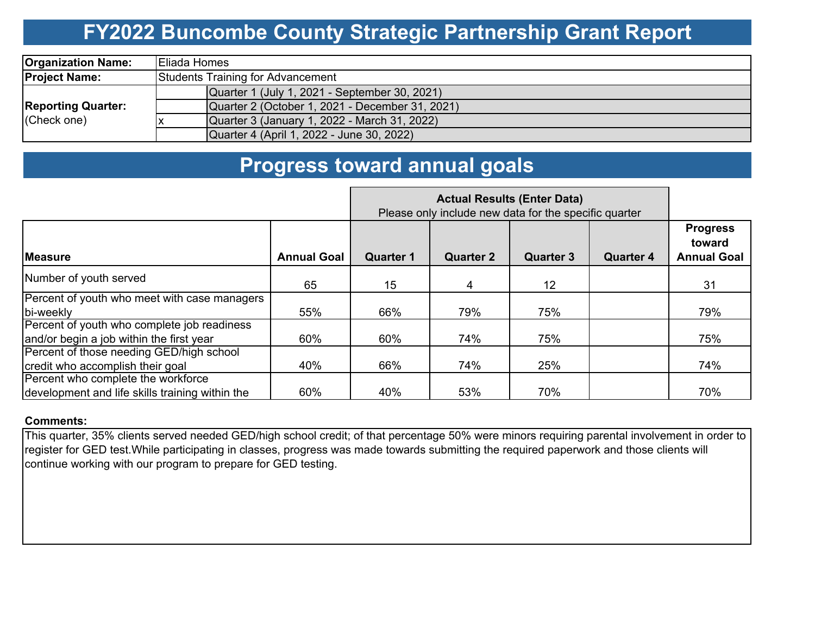### **FY2022 Buncombe County Strategic Partnership Grant Report**

| <b>Organization Name:</b>                | <b>Eliada Homes</b>                             |  |  |  |  |  |  |
|------------------------------------------|-------------------------------------------------|--|--|--|--|--|--|
| <b>Project Name:</b>                     | Students Training for Advancement               |  |  |  |  |  |  |
| <b>Reporting Quarter:</b><br>(Check one) | Quarter 1 (July 1, 2021 - September 30, 2021)   |  |  |  |  |  |  |
|                                          | Quarter 2 (October 1, 2021 - December 31, 2021) |  |  |  |  |  |  |
|                                          | Quarter 3 (January 1, 2022 - March 31, 2022)    |  |  |  |  |  |  |
|                                          | Quarter 4 (April 1, 2022 - June 30, 2022)       |  |  |  |  |  |  |

### **Progress toward annual goals**

|                                                        | Please only include new data for the specific quarter |                  |                  |                  |                  |                                                 |
|--------------------------------------------------------|-------------------------------------------------------|------------------|------------------|------------------|------------------|-------------------------------------------------|
| <b>IMeasure</b>                                        | <b>Annual Goal</b>                                    | <b>Quarter 1</b> | <b>Quarter 2</b> | <b>Quarter 3</b> | <b>Quarter 4</b> | <b>Progress</b><br>toward<br><b>Annual Goal</b> |
| Number of youth served                                 | 65                                                    | 15               | 4                | 12               |                  | 31                                              |
| Percent of youth who meet with case managers           |                                                       |                  |                  |                  |                  |                                                 |
| bi-weekly                                              | 55%                                                   | 66%              | 79%              | 75%              |                  | 79%                                             |
| Percent of youth who complete job readiness            |                                                       |                  |                  |                  |                  |                                                 |
| and/or begin a job within the first year               | 60%                                                   | 60%              | 74%              | 75%              |                  | 75%                                             |
| Percent of those needing GED/high school               |                                                       |                  |                  |                  |                  |                                                 |
| credit who accomplish their goal                       | 40%                                                   | 66%              | 74%              | 25%              |                  | 74%                                             |
| Percent who complete the workforce                     |                                                       |                  |                  |                  |                  |                                                 |
| development and life skills training within the<br>60% |                                                       | 40%              | 53%              | 70%              |                  | 70%                                             |

#### **Comments:**

This quarter, 35% clients served needed GED/high school credit; of that percentage 50% were minors requiring parental involvement in order to register for GED test.While participating in classes, progress was made towards submitting the required paperwork and those clients will continue working with our program to prepare for GED testing.